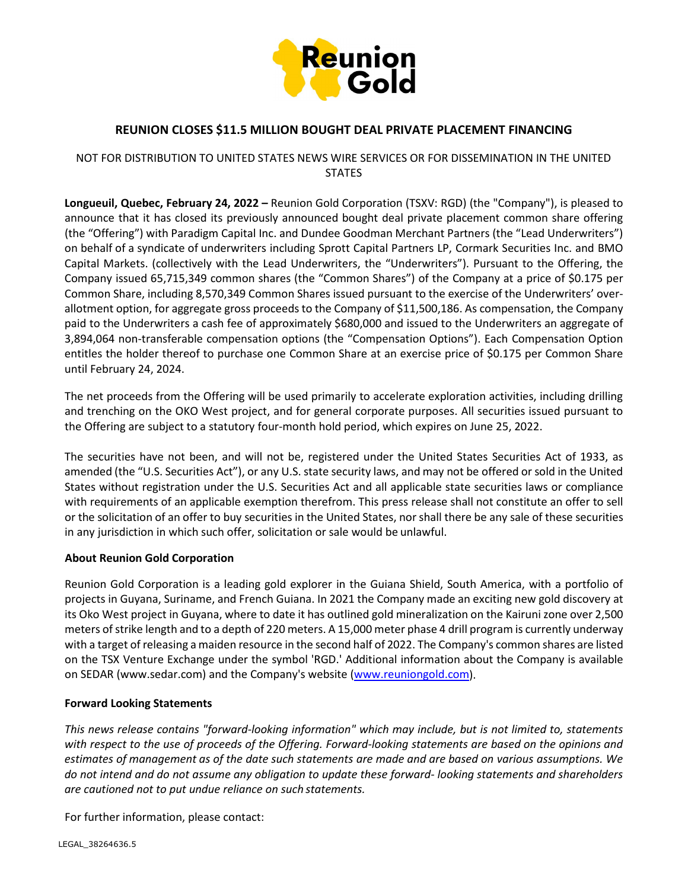

## **REUNION CLOSES \$11.5 MILLION BOUGHT DEAL PRIVATE PLACEMENT FINANCING**

### NOT FOR DISTRIBUTION TO UNITED STATES NEWS WIRE SERVICES OR FOR DISSEMINATION IN THE UNITED **STATES**

**Longueuil, Quebec, February 24, 2022 –** Reunion Gold Corporation (TSXV: RGD) (the "Company"), is pleased to announce that it has closed its previously announced bought deal private placement common share offering (the "Offering") with Paradigm Capital Inc. and Dundee Goodman Merchant Partners (the "Lead Underwriters") on behalf of a syndicate of underwriters including Sprott Capital Partners LP, Cormark Securities Inc. and BMO Capital Markets. (collectively with the Lead Underwriters, the "Underwriters"). Pursuant to the Offering, the Company issued 65,715,349 common shares (the "Common Shares") of the Company at a price of \$0.175 per Common Share, including 8,570,349 Common Shares issued pursuant to the exercise of the Underwriters' overallotment option, for aggregate gross proceeds to the Company of \$11,500,186. As compensation, the Company paid to the Underwriters a cash fee of approximately \$680,000 and issued to the Underwriters an aggregate of 3,894,064 non-transferable compensation options (the "Compensation Options"). Each Compensation Option entitles the holder thereof to purchase one Common Share at an exercise price of \$0.175 per Common Share until February 24, 2024.

The net proceeds from the Offering will be used primarily to accelerate exploration activities, including drilling and trenching on the OKO West project, and for general corporate purposes. All securities issued pursuant to the Offering are subject to a statutory four-month hold period, which expires on June 25, 2022.

The securities have not been, and will not be, registered under the United States Securities Act of 1933, as amended (the "U.S. Securities Act"), or any U.S. state security laws, and may not be offered orsold in the United States without registration under the U.S. Securities Act and all applicable state securities laws or compliance with requirements of an applicable exemption therefrom. This press release shall not constitute an offer to sell or the solicitation of an offer to buy securities in the United States, norshall there be any sale of these securities in any jurisdiction in which such offer, solicitation or sale would be unlawful.

#### **About Reunion Gold Corporation**

Reunion Gold Corporation is a leading gold explorer in the Guiana Shield, South America, with a portfolio of projects in Guyana, Suriname, and French Guiana. In 2021 the Company made an exciting new gold discovery at its Oko West project in Guyana, where to date it has outlined gold mineralization on the Kairuni zone over 2,500 meters of strike length and to a depth of 220 meters. A 15,000 meter phase 4 drill program is currently underway with a target of releasing a maiden resource in the second half of 2022. The Company's common shares are listed on the TSX Venture Exchange under the symbol 'RGD.' Additional information about the Company is available on SEDAR (www.sedar.com) and the Company's website [\(www.reuniongold.com\)](http://www.reuniongold.com/).

#### **Forward Looking Statements**

*This news release contains "forward-looking information" which may include, but is not limited to, statements with respect to the use of proceeds of the Offering. Forward-looking statements are based on the opinions and estimates of management as of the date such statements are made and are based on various assumptions. We do not intend and do not assume any obligation to update these forward- looking statements and shareholders are cautioned not to put undue reliance on such statements.*

For further information, please contact: